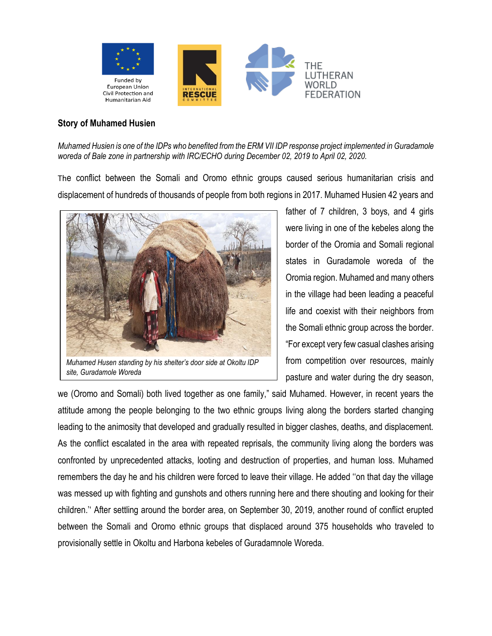

## **Story of Muhamed Husien**

*Muhamed Husien is one of the IDPs who benefited from the ERM VII IDP response project implemented in Guradamole woreda of Bale zone in partnership with IRC/ECHO during December 02, 2019 to April 02, 2020.*

The conflict between the Somali and Oromo ethnic groups caused serious humanitarian crisis and displacement of hundreds of thousands of people from both regions in 2017. Muhamed Husien 42 years and



*Muhamed Husen standing by his shelter's door side at Okoltu IDP site, Guradamole Woreda*

father of 7 children, 3 boys, and 4 girls were living in one of the kebeles along the border of the Oromia and Somali regional states in Guradamole woreda of the Oromia region. Muhamed and many others in the village had been leading a peaceful life and coexist with their neighbors from the Somali ethnic group across the border. "For except very few casual clashes arising from competition over resources, mainly pasture and water during the dry season,

we (Oromo and Somali) both lived together as one family," said Muhamed. However, in recent years the attitude among the people belonging to the two ethnic groups living along the borders started changing leading to the animosity that developed and gradually resulted in bigger clashes, deaths, and displacement. As the conflict escalated in the area with repeated reprisals, the community living along the borders was confronted by unprecedented attacks, looting and destruction of properties, and human loss. Muhamed remembers the day he and his children were forced to leave their village. He added ''on that day the village was messed up with fighting and gunshots and others running here and there shouting and looking for their children.'' After settling around the border area, on September 30, 2019, another round of conflict erupted between the Somali and Oromo ethnic groups that displaced around 375 households who traveled to provisionally settle in Okoltu and Harbona kebeles of Guradamnole Woreda.